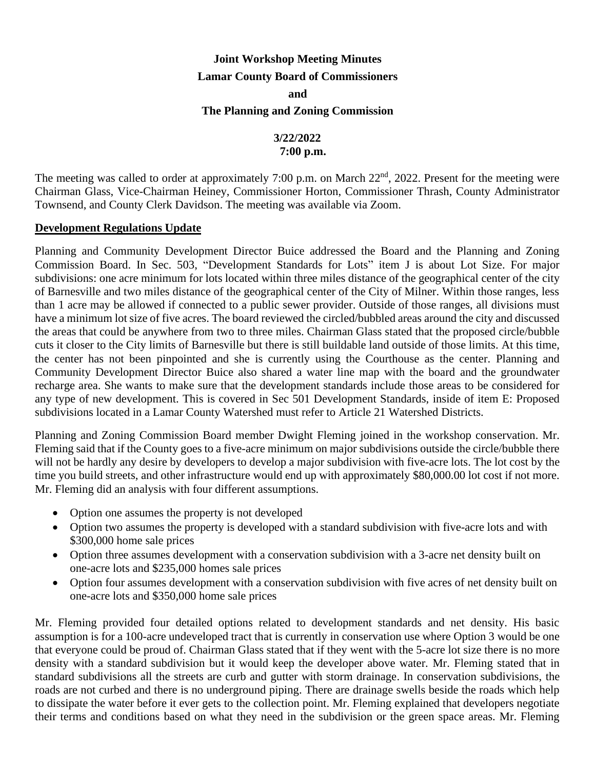## **Joint Workshop Meeting Minutes Lamar County Board of Commissioners and**

#### **The Planning and Zoning Commission**

# **3/22/2022**

## **7:00 p.m.**

The meeting was called to order at approximately 7:00 p.m. on March 22<sup>nd</sup>, 2022. Present for the meeting were Chairman Glass, Vice-Chairman Heiney, Commissioner Horton, Commissioner Thrash, County Administrator Townsend, and County Clerk Davidson. The meeting was available via Zoom.

#### **Development Regulations Update**

Planning and Community Development Director Buice addressed the Board and the Planning and Zoning Commission Board. In Sec. 503, "Development Standards for Lots" item J is about Lot Size. For major subdivisions: one acre minimum for lots located within three miles distance of the geographical center of the city of Barnesville and two miles distance of the geographical center of the City of Milner. Within those ranges, less than 1 acre may be allowed if connected to a public sewer provider. Outside of those ranges, all divisions must have a minimum lot size of five acres. The board reviewed the circled/bubbled areas around the city and discussed the areas that could be anywhere from two to three miles. Chairman Glass stated that the proposed circle/bubble cuts it closer to the City limits of Barnesville but there is still buildable land outside of those limits. At this time, the center has not been pinpointed and she is currently using the Courthouse as the center. Planning and Community Development Director Buice also shared a water line map with the board and the groundwater recharge area. She wants to make sure that the development standards include those areas to be considered for any type of new development. This is covered in Sec 501 Development Standards, inside of item E: Proposed subdivisions located in a Lamar County Watershed must refer to Article 21 Watershed Districts.

Planning and Zoning Commission Board member Dwight Fleming joined in the workshop conservation. Mr. Fleming said that if the County goes to a five-acre minimum on major subdivisions outside the circle/bubble there will not be hardly any desire by developers to develop a major subdivision with five-acre lots. The lot cost by the time you build streets, and other infrastructure would end up with approximately \$80,000.00 lot cost if not more. Mr. Fleming did an analysis with four different assumptions.

- Option one assumes the property is not developed
- Option two assumes the property is developed with a standard subdivision with five-acre lots and with \$300,000 home sale prices
- Option three assumes development with a conservation subdivision with a 3-acre net density built on one-acre lots and \$235,000 homes sale prices
- Option four assumes development with a conservation subdivision with five acres of net density built on one-acre lots and \$350,000 home sale prices

Mr. Fleming provided four detailed options related to development standards and net density. His basic assumption is for a 100-acre undeveloped tract that is currently in conservation use where Option 3 would be one that everyone could be proud of. Chairman Glass stated that if they went with the 5-acre lot size there is no more density with a standard subdivision but it would keep the developer above water. Mr. Fleming stated that in standard subdivisions all the streets are curb and gutter with storm drainage. In conservation subdivisions, the roads are not curbed and there is no underground piping. There are drainage swells beside the roads which help to dissipate the water before it ever gets to the collection point. Mr. Fleming explained that developers negotiate their terms and conditions based on what they need in the subdivision or the green space areas. Mr. Fleming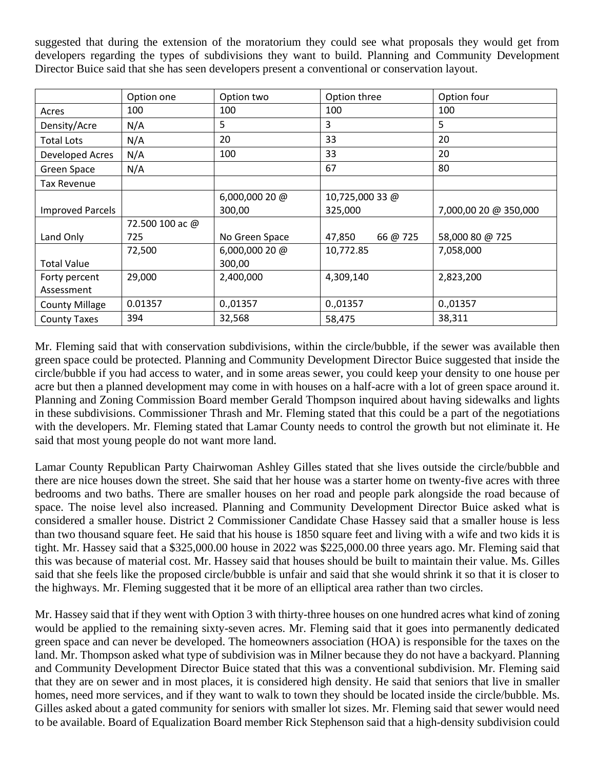suggested that during the extension of the moratorium they could see what proposals they would get from developers regarding the types of subdivisions they want to build. Planning and Community Development Director Buice said that she has seen developers present a conventional or conservation layout.

|                         | Option one      | Option two      | Option three       | Option four           |
|-------------------------|-----------------|-----------------|--------------------|-----------------------|
| Acres                   | 100             | 100             | 100                | 100                   |
| Density/Acre            | N/A             | 5               | 3                  | 5                     |
| <b>Total Lots</b>       | N/A             | 20              | 33                 | 20                    |
| Developed Acres         | N/A             | 100             | 33                 | 20                    |
| Green Space             | N/A             |                 | 67                 | 80                    |
| Tax Revenue             |                 |                 |                    |                       |
|                         |                 | 6,000,000 20 @  | 10,725,000 33 @    |                       |
| <b>Improved Parcels</b> |                 | 300,00          | 325,000            | 7,000,00 20 @ 350,000 |
|                         | 72.500 100 ac @ |                 |                    |                       |
| Land Only               | 725             | No Green Space  | 66 @ 725<br>47,850 | 58,000 80 @ 725       |
|                         | 72,500          | $6,000,00020$ @ | 10,772.85          | 7,058,000             |
| <b>Total Value</b>      |                 | 300,00          |                    |                       |
| Forty percent           | 29,000          | 2,400,000       | 4,309,140          | 2,823,200             |
| Assessment              |                 |                 |                    |                       |
| <b>County Millage</b>   | 0.01357         | 0.,01357        | 0.,01357           | 0.,01357              |
| <b>County Taxes</b>     | 394             | 32,568          | 58,475             | 38,311                |

Mr. Fleming said that with conservation subdivisions, within the circle/bubble, if the sewer was available then green space could be protected. Planning and Community Development Director Buice suggested that inside the circle/bubble if you had access to water, and in some areas sewer, you could keep your density to one house per acre but then a planned development may come in with houses on a half-acre with a lot of green space around it. Planning and Zoning Commission Board member Gerald Thompson inquired about having sidewalks and lights in these subdivisions. Commissioner Thrash and Mr. Fleming stated that this could be a part of the negotiations with the developers. Mr. Fleming stated that Lamar County needs to control the growth but not eliminate it. He said that most young people do not want more land.

Lamar County Republican Party Chairwoman Ashley Gilles stated that she lives outside the circle/bubble and there are nice houses down the street. She said that her house was a starter home on twenty-five acres with three bedrooms and two baths. There are smaller houses on her road and people park alongside the road because of space. The noise level also increased. Planning and Community Development Director Buice asked what is considered a smaller house. District 2 Commissioner Candidate Chase Hassey said that a smaller house is less than two thousand square feet. He said that his house is 1850 square feet and living with a wife and two kids it is tight. Mr. Hassey said that a \$325,000.00 house in 2022 was \$225,000.00 three years ago. Mr. Fleming said that this was because of material cost. Mr. Hassey said that houses should be built to maintain their value. Ms. Gilles said that she feels like the proposed circle/bubble is unfair and said that she would shrink it so that it is closer to the highways. Mr. Fleming suggested that it be more of an elliptical area rather than two circles.

Mr. Hassey said that if they went with Option 3 with thirty-three houses on one hundred acres what kind of zoning would be applied to the remaining sixty-seven acres. Mr. Fleming said that it goes into permanently dedicated green space and can never be developed. The homeowners association (HOA) is responsible for the taxes on the land. Mr. Thompson asked what type of subdivision was in Milner because they do not have a backyard. Planning and Community Development Director Buice stated that this was a conventional subdivision. Mr. Fleming said that they are on sewer and in most places, it is considered high density. He said that seniors that live in smaller homes, need more services, and if they want to walk to town they should be located inside the circle/bubble. Ms. Gilles asked about a gated community for seniors with smaller lot sizes. Mr. Fleming said that sewer would need to be available. Board of Equalization Board member Rick Stephenson said that a high-density subdivision could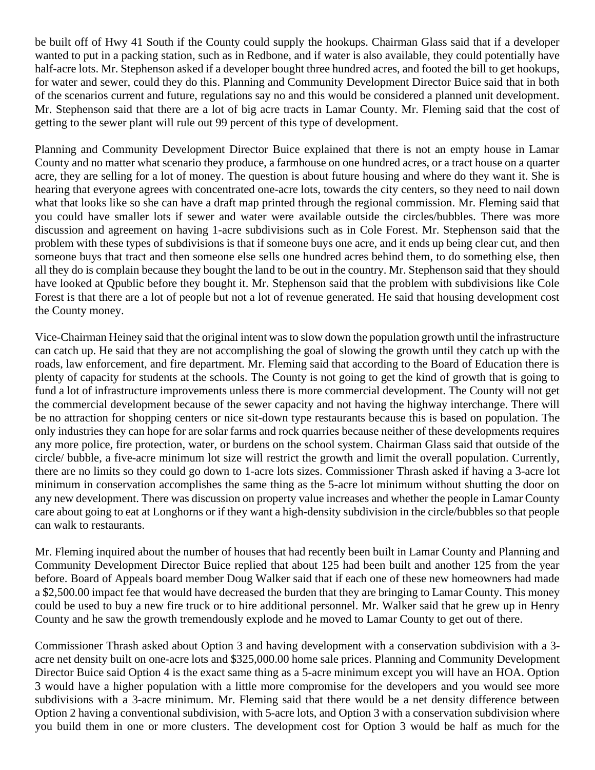be built off of Hwy 41 South if the County could supply the hookups. Chairman Glass said that if a developer wanted to put in a packing station, such as in Redbone, and if water is also available, they could potentially have half-acre lots. Mr. Stephenson asked if a developer bought three hundred acres, and footed the bill to get hookups, for water and sewer, could they do this. Planning and Community Development Director Buice said that in both of the scenarios current and future, regulations say no and this would be considered a planned unit development. Mr. Stephenson said that there are a lot of big acre tracts in Lamar County. Mr. Fleming said that the cost of getting to the sewer plant will rule out 99 percent of this type of development.

Planning and Community Development Director Buice explained that there is not an empty house in Lamar County and no matter what scenario they produce, a farmhouse on one hundred acres, or a tract house on a quarter acre, they are selling for a lot of money. The question is about future housing and where do they want it. She is hearing that everyone agrees with concentrated one-acre lots, towards the city centers, so they need to nail down what that looks like so she can have a draft map printed through the regional commission. Mr. Fleming said that you could have smaller lots if sewer and water were available outside the circles/bubbles. There was more discussion and agreement on having 1-acre subdivisions such as in Cole Forest. Mr. Stephenson said that the problem with these types of subdivisions is that if someone buys one acre, and it ends up being clear cut, and then someone buys that tract and then someone else sells one hundred acres behind them, to do something else, then all they do is complain because they bought the land to be out in the country. Mr. Stephenson said that they should have looked at Qpublic before they bought it. Mr. Stephenson said that the problem with subdivisions like Cole Forest is that there are a lot of people but not a lot of revenue generated. He said that housing development cost the County money.

Vice-Chairman Heiney said that the original intent was to slow down the population growth until the infrastructure can catch up. He said that they are not accomplishing the goal of slowing the growth until they catch up with the roads, law enforcement, and fire department. Mr. Fleming said that according to the Board of Education there is plenty of capacity for students at the schools. The County is not going to get the kind of growth that is going to fund a lot of infrastructure improvements unless there is more commercial development. The County will not get the commercial development because of the sewer capacity and not having the highway interchange. There will be no attraction for shopping centers or nice sit-down type restaurants because this is based on population. The only industries they can hope for are solar farms and rock quarries because neither of these developments requires any more police, fire protection, water, or burdens on the school system. Chairman Glass said that outside of the circle/ bubble, a five-acre minimum lot size will restrict the growth and limit the overall population. Currently, there are no limits so they could go down to 1-acre lots sizes. Commissioner Thrash asked if having a 3-acre lot minimum in conservation accomplishes the same thing as the 5-acre lot minimum without shutting the door on any new development. There was discussion on property value increases and whether the people in Lamar County care about going to eat at Longhorns or if they want a high-density subdivision in the circle/bubbles so that people can walk to restaurants.

Mr. Fleming inquired about the number of houses that had recently been built in Lamar County and Planning and Community Development Director Buice replied that about 125 had been built and another 125 from the year before. Board of Appeals board member Doug Walker said that if each one of these new homeowners had made a \$2,500.00 impact fee that would have decreased the burden that they are bringing to Lamar County. This money could be used to buy a new fire truck or to hire additional personnel. Mr. Walker said that he grew up in Henry County and he saw the growth tremendously explode and he moved to Lamar County to get out of there.

Commissioner Thrash asked about Option 3 and having development with a conservation subdivision with a 3 acre net density built on one-acre lots and \$325,000.00 home sale prices. Planning and Community Development Director Buice said Option 4 is the exact same thing as a 5-acre minimum except you will have an HOA. Option 3 would have a higher population with a little more compromise for the developers and you would see more subdivisions with a 3-acre minimum. Mr. Fleming said that there would be a net density difference between Option 2 having a conventional subdivision, with 5-acre lots, and Option 3 with a conservation subdivision where you build them in one or more clusters. The development cost for Option 3 would be half as much for the